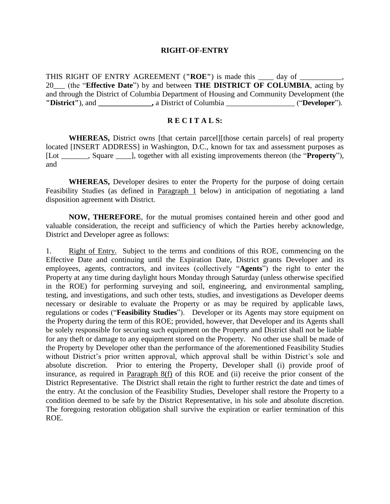#### **RIGHT-OF-ENTRY**

THIS RIGHT OF ENTRY AGREEMENT (**"ROE"**) is made this \_\_\_\_ day of \_\_\_\_\_\_\_\_\_\_\_, 20\_\_\_ (the "**Effective Date**") by and between **THE DISTRICT OF COLUMBIA**, acting by and through the District of Columbia Department of Housing and Community Development (the **"District"**), and **\_\_\_\_\_\_\_\_\_\_\_\_\_\_,** a District of Columbia \_\_\_\_\_\_\_\_\_\_\_\_\_\_\_\_\_\_ ("**Developer**").

### **R E C I T A L S:**

**WHEREAS,** District owns [that certain parcel][those certain parcels] of real property located [INSERT ADDRESS] in Washington, D.C., known for tax and assessment purposes as [Lot \_\_\_\_\_\_\_, Square \_\_\_\_], together with all existing improvements thereon (the "**Property**"), and

**WHEREAS,** Developer desires to enter the Property for the purpose of doing certain Feasibility Studies (as defined in Paragraph 1 below) in anticipation of negotiating a land disposition agreement with District.

**NOW, THEREFORE**, for the mutual promises contained herein and other good and valuable consideration, the receipt and sufficiency of which the Parties hereby acknowledge, District and Developer agree as follows:

1. Right of Entry. Subject to the terms and conditions of this ROE, commencing on the Effective Date and continuing until the Expiration Date, District grants Developer and its employees, agents, contractors, and invitees (collectively "**Agents**") the right to enter the Property at any time during daylight hours Monday through Saturday (unless otherwise specified in the ROE) for performing surveying and soil, engineering, and environmental sampling, testing, and investigations, and such other tests, studies, and investigations as Developer deems necessary or desirable to evaluate the Property or as may be required by applicable laws, regulations or codes ("**Feasibility Studies**"). Developer or its Agents may store equipment on the Property during the term of this ROE; provided, however, that Developer and its Agents shall be solely responsible for securing such equipment on the Property and District shall not be liable for any theft or damage to any equipment stored on the Property. No other use shall be made of the Property by Developer other than the performance of the aforementioned Feasibility Studies without District's prior written approval, which approval shall be within District's sole and absolute discretion. Prior to entering the Property, Developer shall (i) provide proof of insurance, as required in Paragraph 8(f) of this ROE and (ii) receive the prior consent of the District Representative. The District shall retain the right to further restrict the date and times of the entry. At the conclusion of the Feasibility Studies, Developer shall restore the Property to a condition deemed to be safe by the District Representative, in his sole and absolute discretion. The foregoing restoration obligation shall survive the expiration or earlier termination of this ROE.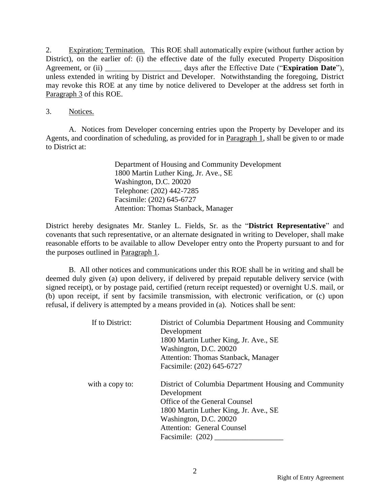2. Expiration; Termination. This ROE shall automatically expire (without further action by District), on the earlier of: (i) the effective date of the fully executed Property Disposition Agreement, or (ii) days after the Effective Date ("**Expiration Date**"), unless extended in writing by District and Developer. Notwithstanding the foregoing, District may revoke this ROE at any time by notice delivered to Developer at the address set forth in Paragraph 3 of this ROE.

### 3. Notices.

A. Notices from Developer concerning entries upon the Property by Developer and its Agents, and coordination of scheduling, as provided for in Paragraph 1, shall be given to or made to District at:

> Department of Housing and Community Development 1800 Martin Luther King, Jr. Ave., SE Washington, D.C. 20020 Telephone: (202) 442-7285 Facsimile: (202) 645-6727 Attention: Thomas Stanback, Manager

District hereby designates Mr. Stanley L. Fields, Sr. as the "**District Representative**" and covenants that such representative, or an alternate designated in writing to Developer, shall make reasonable efforts to be available to allow Developer entry onto the Property pursuant to and for the purposes outlined in Paragraph 1.

B. All other notices and communications under this ROE shall be in writing and shall be deemed duly given (a) upon delivery, if delivered by prepaid reputable delivery service (with signed receipt), or by postage paid, certified (return receipt requested) or overnight U.S. mail, or (b) upon receipt, if sent by facsimile transmission, with electronic verification, or (c) upon refusal, if delivery is attempted by a means provided in (a). Notices shall be sent:

| If to District: | District of Columbia Department Housing and Community                |
|-----------------|----------------------------------------------------------------------|
|                 | Development                                                          |
|                 | 1800 Martin Luther King, Jr. Ave., SE                                |
|                 | Washington, D.C. 20020                                               |
|                 | Attention: Thomas Stanback, Manager                                  |
|                 | Facsimile: (202) 645-6727                                            |
| with a copy to: | District of Columbia Department Housing and Community<br>Development |
|                 | Office of the General Counsel                                        |
|                 | 1800 Martin Luther King, Jr. Ave., SE                                |
|                 | Washington, D.C. 20020                                               |
|                 | <b>Attention: General Counsel</b>                                    |
|                 | Facsimile: $(202)$                                                   |
|                 |                                                                      |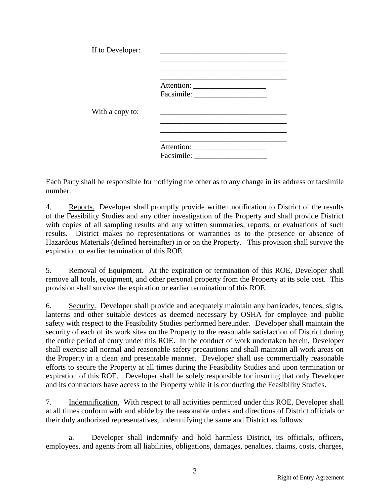| If to Developer: |  |
|------------------|--|
|                  |  |
| With a copy to:  |  |
|                  |  |
|                  |  |

Each Party shall be responsible for notifying the other as to any change in its address or facsimile number.

4. Reports. Developer shall promptly provide written notification to District of the results of the Feasibility Studies and any other investigation of the Property and shall provide District with copies of all sampling results and any written summaries, reports, or evaluations of such results. District makes no representations or warranties as to the presence or absence of Hazardous Materials (defined hereinafter) in or on the Property. This provision shall survive the expiration or earlier termination of this ROE.

5. Removal of Equipment. At the expiration or termination of this ROE, Developer shall remove all tools, equipment, and other personal property from the Property at its sole cost. This provision shall survive the expiration or earlier termination of this ROE.

6. Security. Developer shall provide and adequately maintain any barricades, fences, signs, lanterns and other suitable devices as deemed necessary by OSHA for employee and public safety with respect to the Feasibility Studies performed hereunder. Developer shall maintain the security of each of its work sites on the Property to the reasonable satisfaction of District during the entire period of entry under this ROE. In the conduct of work undertaken herein, Developer shall exercise all normal and reasonable safety precautions and shall maintain all work areas on the Property in a clean and presentable manner. Developer shall use commercially reasonable efforts to secure the Property at all times during the Feasibility Studies and upon termination or expiration of this ROE. Developer shall be solely responsible for insuring that only Developer and its contractors have access to the Property while it is conducting the Feasibility Studies.

7. Indemnification. With respect to all activities permitted under this ROE, Developer shall at all times conform with and abide by the reasonable orders and directions of District officials or their duly authorized representatives, indemnifying the same and District as follows:

a. Developer shall indemnify and hold harmless District, its officials, officers, employees, and agents from all liabilities, obligations, damages, penalties, claims, costs, charges,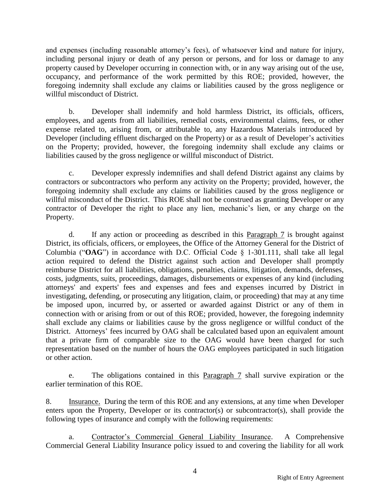and expenses (including reasonable attorney's fees), of whatsoever kind and nature for injury, including personal injury or death of any person or persons, and for loss or damage to any property caused by Developer occurring in connection with, or in any way arising out of the use, occupancy, and performance of the work permitted by this ROE; provided, however, the foregoing indemnity shall exclude any claims or liabilities caused by the gross negligence or willful misconduct of District.

b. Developer shall indemnify and hold harmless District, its officials, officers, employees, and agents from all liabilities, remedial costs, environmental claims, fees, or other expense related to, arising from, or attributable to, any Hazardous Materials introduced by Developer (including effluent discharged on the Property) or as a result of Developer's activities on the Property; provided, however, the foregoing indemnity shall exclude any claims or liabilities caused by the gross negligence or willful misconduct of District.

c. Developer expressly indemnifies and shall defend District against any claims by contractors or subcontractors who perform any activity on the Property; provided, however, the foregoing indemnity shall exclude any claims or liabilities caused by the gross negligence or willful misconduct of the District. This ROE shall not be construed as granting Developer or any contractor of Developer the right to place any lien, mechanic's lien, or any charge on the Property.

d. If any action or proceeding as described in this Paragraph 7 is brought against District, its officials, officers, or employees, the Office of the Attorney General for the District of Columbia ("**OAG**") in accordance with D.C. Official Code § 1-301.111, shall take all legal action required to defend the District against such action and Developer shall promptly reimburse District for all liabilities, obligations, penalties, claims, litigation, demands, defenses, costs, judgments, suits, proceedings, damages, disbursements or expenses of any kind (including attorneys' and experts' fees and expenses and fees and expenses incurred by District in investigating, defending, or prosecuting any litigation, claim, or proceeding) that may at any time be imposed upon, incurred by, or asserted or awarded against District or any of them in connection with or arising from or out of this ROE; provided, however, the foregoing indemnity shall exclude any claims or liabilities cause by the gross negligence or willful conduct of the District. Attorneys' fees incurred by OAG shall be calculated based upon an equivalent amount that a private firm of comparable size to the OAG would have been charged for such representation based on the number of hours the OAG employees participated in such litigation or other action.

e. The obligations contained in this Paragraph 7 shall survive expiration or the earlier termination of this ROE.

8. Insurance. During the term of this ROE and any extensions, at any time when Developer enters upon the Property, Developer or its contractor(s) or subcontractor(s), shall provide the following types of insurance and comply with the following requirements:

a. Contractor's Commercial General Liability Insurance. A Comprehensive Commercial General Liability Insurance policy issued to and covering the liability for all work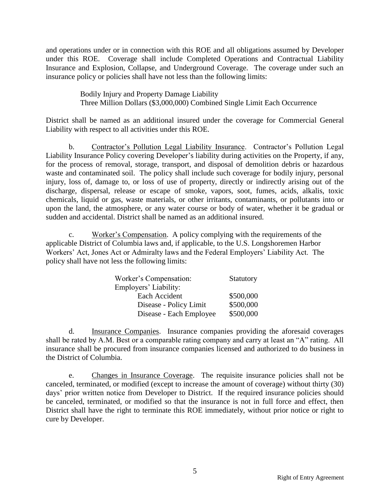and operations under or in connection with this ROE and all obligations assumed by Developer under this ROE. Coverage shall include Completed Operations and Contractual Liability Insurance and Explosion, Collapse, and Underground Coverage. The coverage under such an insurance policy or policies shall have not less than the following limits:

> Bodily Injury and Property Damage Liability Three Million Dollars (\$3,000,000) Combined Single Limit Each Occurrence

District shall be named as an additional insured under the coverage for Commercial General Liability with respect to all activities under this ROE.

b. Contractor's Pollution Legal Liability Insurance. Contractor's Pollution Legal Liability Insurance Policy covering Developer's liability during activities on the Property, if any, for the process of removal, storage, transport, and disposal of demolition debris or hazardous waste and contaminated soil. The policy shall include such coverage for bodily injury, personal injury, loss of, damage to, or loss of use of property, directly or indirectly arising out of the discharge, dispersal, release or escape of smoke, vapors, soot, fumes, acids, alkalis, toxic chemicals, liquid or gas, waste materials, or other irritants, contaminants, or pollutants into or upon the land, the atmosphere, or any water course or body of water, whether it be gradual or sudden and accidental. District shall be named as an additional insured.

c. Worker's Compensation. A policy complying with the requirements of the applicable District of Columbia laws and, if applicable, to the U.S. Longshoremen Harbor Workers' Act, Jones Act or Admiralty laws and the Federal Employers' Liability Act. The policy shall have not less the following limits:

| Worker's Compensation:  | Statutory |
|-------------------------|-----------|
| Employers' Liability:   |           |
| Each Accident           | \$500,000 |
| Disease - Policy Limit  | \$500,000 |
| Disease - Each Employee | \$500,000 |

d. Insurance Companies. Insurance companies providing the aforesaid coverages shall be rated by A.M. Best or a comparable rating company and carry at least an "A" rating. All insurance shall be procured from insurance companies licensed and authorized to do business in the District of Columbia.

e. Changes in Insurance Coverage. The requisite insurance policies shall not be canceled, terminated, or modified (except to increase the amount of coverage) without thirty (30) days' prior written notice from Developer to District. If the required insurance policies should be canceled, terminated, or modified so that the insurance is not in full force and effect, then District shall have the right to terminate this ROE immediately, without prior notice or right to cure by Developer.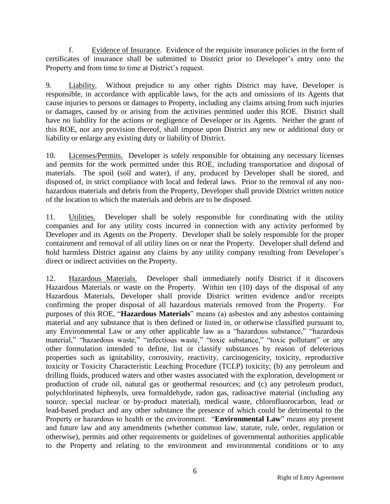f. Evidence of Insurance. Evidence of the requisite insurance policies in the form of certificates of insurance shall be submitted to District prior to Developer's entry onto the Property and from time to time at District's request.

9. Liability. Without prejudice to any other rights District may have, Developer is responsible, in accordance with applicable laws, for the acts and omissions of its Agents that cause injuries to persons or damages to Property, including any claims arising from such injuries or damages, caused by or arising from the activities permitted under this ROE. District shall have no liability for the actions or negligence of Developer or its Agents. Neither the grant of this ROE, nor any provision thereof, shall impose upon District any new or additional duty or liability or enlarge any existing duty or liability of District.

10. Licenses/Permits. Developer is solely responsible for obtaining any necessary licenses and permits for the work permitted under this ROE, including transportation and disposal of materials. The spoil (soil and water), if any, produced by Developer shall be stored, and disposed of, in strict compliance with local and federal laws. Prior to the removal of any nonhazardous materials and debris from the Property, Developer shall provide District written notice of the location to which the materials and debris are to be disposed.

11. Utilities. Developer shall be solely responsible for coordinating with the utility companies and for any utility costs incurred in connection with any activity performed by Developer and its Agents on the Property. Developer shall be solely responsible for the proper containment and removal of all utility lines on or near the Property. Developer shall defend and hold harmless District against any claims by any utility company resulting from Developer's direct or indirect activities on the Property.

12. Hazardous Materials. Developer shall immediately notify District if it discovers Hazardous Materials or waste on the Property. Within ten (10) days of the disposal of any Hazardous Materials, Developer shall provide District written evidence and/or receipts confirming the proper disposal of all hazardous materials removed from the Property. For purposes of this ROE, "**Hazardous Materials**" means (a) asbestos and any asbestos containing material and any substance that is then defined or listed in, or otherwise classified pursuant to, any Environmental Law or any other applicable law as a "hazardous substance," "hazardous material," "hazardous waste," "infectious waste," "toxic substance," "toxic pollutant" or any other formulation intended to define, list or classify substances by reason of deleterious properties such as ignitability, corrosivity, reactivity, carcinogenicity, toxicity, reproductive toxicity or Toxicity Characteristic Leaching Procedure (TCLP) toxicity; (b) any petroleum and drilling fluids, produced waters and other wastes associated with the exploration, development or production of crude oil, natural gas or geothermal resources; and (c) any petroleum product, polychlorinated biphenyls, urea formaldehyde, radon gas, radioactive material (including any source, special nuclear or by-product material), medical waste, chlorofluorocarbon, lead or lead-based product and any other substance the presence of which could be detrimental to the Property or hazardous to health or the environment. "**Environmental Law**" means any present and future law and any amendments (whether common law, statute, rule, order, regulation or otherwise), permits and other requirements or guidelines of governmental authorities applicable to the Property and relating to the environment and environmental conditions or to any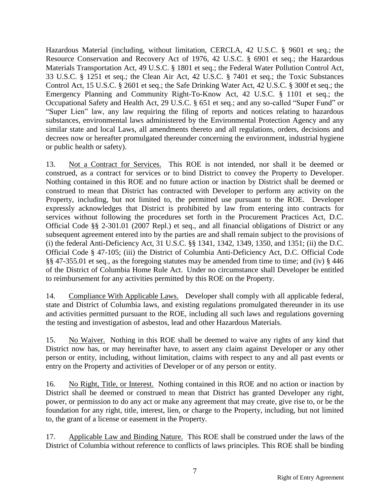Hazardous Material (including, without limitation, CERCLA, 42 U.S.C. § 9601 et seq.; the Resource Conservation and Recovery Act of 1976, 42 U.S.C. § 6901 et seq.; the Hazardous Materials Transportation Act, 49 U.S.C. § 1801 et seq.; the Federal Water Pollution Control Act, 33 U.S.C. § 1251 et seq.; the Clean Air Act, 42 U.S.C. § 7401 et seq.; the Toxic Substances Control Act, 15 U.S.C. § 2601 et seq.; the Safe Drinking Water Act, 42 U.S.C. § 300f et seq.; the Emergency Planning and Community Right-To-Know Act, 42 U.S.C. § 1101 et seq.; the Occupational Safety and Health Act, 29 U.S.C. § 651 et seq.; and any so-called "Super Fund" or "Super Lien" law, any law requiring the filing of reports and notices relating to hazardous substances, environmental laws administered by the Environmental Protection Agency and any similar state and local Laws, all amendments thereto and all regulations, orders, decisions and decrees now or hereafter promulgated thereunder concerning the environment, industrial hygiene or public health or safety).

13. Not a Contract for Services. This ROE is not intended, nor shall it be deemed or construed, as a contract for services or to bind District to convey the Property to Developer. Nothing contained in this ROE and no future action or inaction by District shall be deemed or construed to mean that District has contracted with Developer to perform any activity on the Property, including, but not limited to, the permitted use pursuant to the ROE. Developer expressly acknowledges that District is prohibited by law from entering into contracts for services without following the procedures set forth in the Procurement Practices Act, D.C. Official Code §§ 2-301.01 (2007 Repl.) et seq., and all financial obligations of District or any subsequent agreement entered into by the parties are and shall remain subject to the provisions of (i) the federal Anti-Deficiency Act, 31 U.S.C. §§ 1341, 1342, 1349, 1350, and 1351; (ii) the D.C. Official Code § 47-105; (iii) the District of Columbia Anti-Deficiency Act, D.C. Official Code §§ 47-355.01 et seq., as the foregoing statutes may be amended from time to time; and (iv) § 446 of the District of Columbia Home Rule Act. Under no circumstance shall Developer be entitled to reimbursement for any activities permitted by this ROE on the Property.

14. Compliance With Applicable Laws. Developer shall comply with all applicable federal, state and District of Columbia laws, and existing regulations promulgated thereunder in its use and activities permitted pursuant to the ROE, including all such laws and regulations governing the testing and investigation of asbestos, lead and other Hazardous Materials.

15. No Waiver. Nothing in this ROE shall be deemed to waive any rights of any kind that District now has, or may hereinafter have, to assert any claim against Developer or any other person or entity, including, without limitation, claims with respect to any and all past events or entry on the Property and activities of Developer or of any person or entity.

16. No Right, Title, or Interest. Nothing contained in this ROE and no action or inaction by District shall be deemed or construed to mean that District has granted Developer any right, power, or permission to do any act or make any agreement that may create, give rise to, or be the foundation for any right, title, interest, lien, or charge to the Property, including, but not limited to, the grant of a license or easement in the Property.

17. Applicable Law and Binding Nature. This ROE shall be construed under the laws of the District of Columbia without reference to conflicts of laws principles. This ROE shall be binding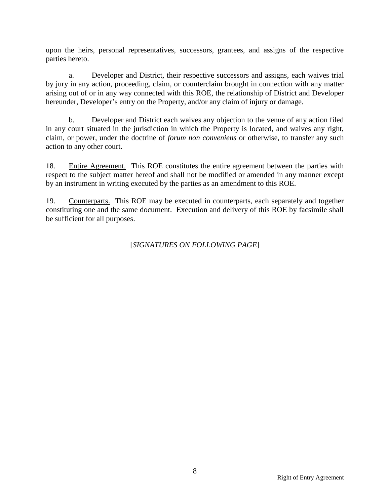upon the heirs, personal representatives, successors, grantees, and assigns of the respective parties hereto.

a. Developer and District, their respective successors and assigns, each waives trial by jury in any action, proceeding, claim, or counterclaim brought in connection with any matter arising out of or in any way connected with this ROE, the relationship of District and Developer hereunder, Developer's entry on the Property, and/or any claim of injury or damage.

b. Developer and District each waives any objection to the venue of any action filed in any court situated in the jurisdiction in which the Property is located, and waives any right, claim, or power, under the doctrine of *forum non conveniens* or otherwise, to transfer any such action to any other court.

18. Entire Agreement. This ROE constitutes the entire agreement between the parties with respect to the subject matter hereof and shall not be modified or amended in any manner except by an instrument in writing executed by the parties as an amendment to this ROE.

19. Counterparts. This ROE may be executed in counterparts, each separately and together constituting one and the same document. Execution and delivery of this ROE by facsimile shall be sufficient for all purposes.

[*SIGNATURES ON FOLLOWING PAGE*]